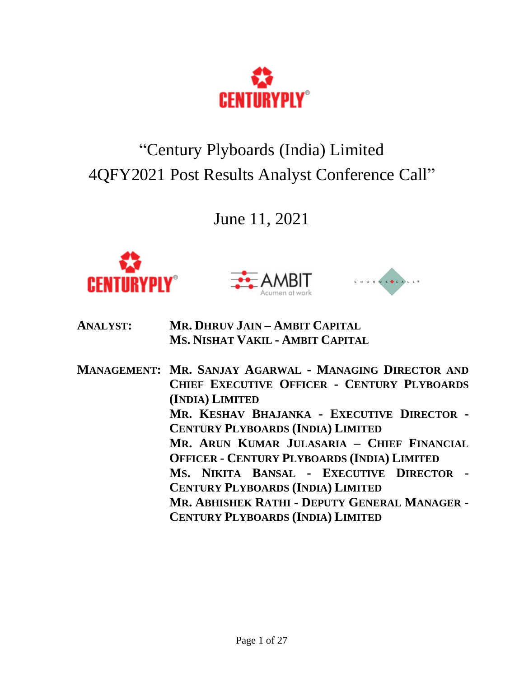

# "Century Plyboards (India) Limited 4QFY2021 Post Results Analyst Conference Call"

June 11, 2021







- **ANALYST: MR. DHRUV JAIN – AMBIT CAPITAL MS. NISHAT VAKIL - AMBIT CAPITAL**
- **MANAGEMENT: MR. SANJAY AGARWAL - MANAGING DIRECTOR AND CHIEF EXECUTIVE OFFICER - CENTURY PLYBOARDS (INDIA) LIMITED MR. KESHAV BHAJANKA - EXECUTIVE DIRECTOR - CENTURY PLYBOARDS (INDIA) LIMITED MR. ARUN KUMAR JULASARIA – CHIEF FINANCIAL OFFICER - CENTURY PLYBOARDS (INDIA) LIMITED MS. NIKITA BANSAL - EXECUTIVE DIRECTOR - CENTURY PLYBOARDS (INDIA) LIMITED MR. ABHISHEK RATHI - DEPUTY GENERAL MANAGER - CENTURY PLYBOARDS (INDIA) LIMITED**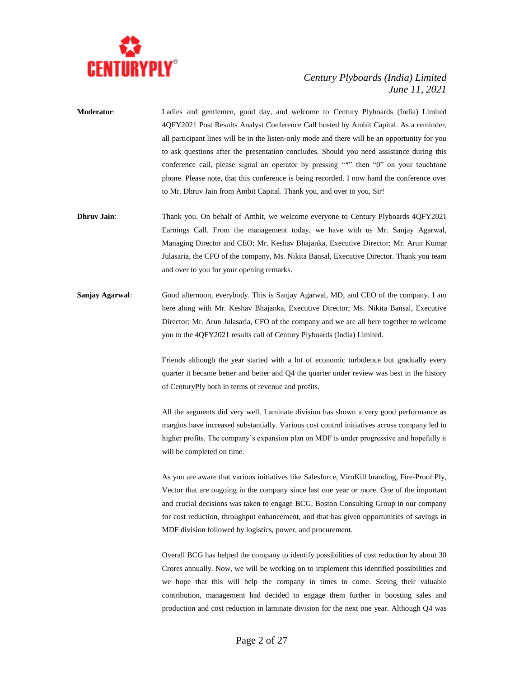

- **Moderator**: Ladies and gentlemen, good day, and welcome to Century Plyboards (India) Limited 4QFY2021 Post Results Analyst Conference Call hosted by Ambit Capital. As a reminder, all participant lines will be in the listen-only mode and there will be an opportunity for you to ask questions after the presentation concludes. Should you need assistance during this conference call, please signal an operator by pressing "\*" then "0" on your touchtone phone. Please note, that this conference is being recorded. I now hand the conference over to Mr. Dhruv Jain from Ambit Capital. Thank you, and over to you, Sir!
- **Dhruv Jain**: Thank you. On behalf of Ambit, we welcome everyone to Century Plyboards 4QFY2021 Earnings Call. From the management today, we have with us Mr. Sanjay Agarwal, Managing Director and CEO; Mr. Keshav Bhajanka, Executive Director; Mr. Arun Kumar Julasaria, the CFO of the company, Ms. Nikita Bansal, Executive Director. Thank you team and over to you for your opening remarks.
- **Sanjay Agarwal**: Good afternoon, everybody. This is Sanjay Agarwal, MD, and CEO of the company. I am here along with Mr. Keshav Bhajanka, Executive Director; Ms. Nikita Bansal, Executive Director; Mr. Arun Julasaria, CFO of the company and we are all here together to welcome you to the 4QFY2021 results call of Century Plyboards (India) Limited.

Friends although the year started with a lot of economic turbulence but gradually every quarter it became better and better and Q4 the quarter under review was best in the history of CenturyPly both in terms of revenue and profits.

All the segments did very well. Laminate division has shown a very good performance as margins have increased substantially. Various cost control initiatives across company led to higher profits. The company's expansion plan on MDF is under progressive and hopefully it will be completed on time.

As you are aware that various initiatives like Salesforce, ViroKill branding, Fire-Proof Ply, Vector that are ongoing in the company since last one year or more. One of the important and crucial decisions was taken to engage BCG, Boston Consulting Group in our company for cost reduction, throughput enhancement, and that has given opportunities of savings in MDF division followed by logistics, power, and procurement.

Overall BCG has helped the company to identify possibilities of cost reduction by about 30 Crores annually. Now, we will be working on to implement this identified possibilities and we hope that this will help the company in times to come. Seeing their valuable contribution, management had decided to engage them further in boosting sales and production and cost reduction in laminate division for the next one year. Although Q4 was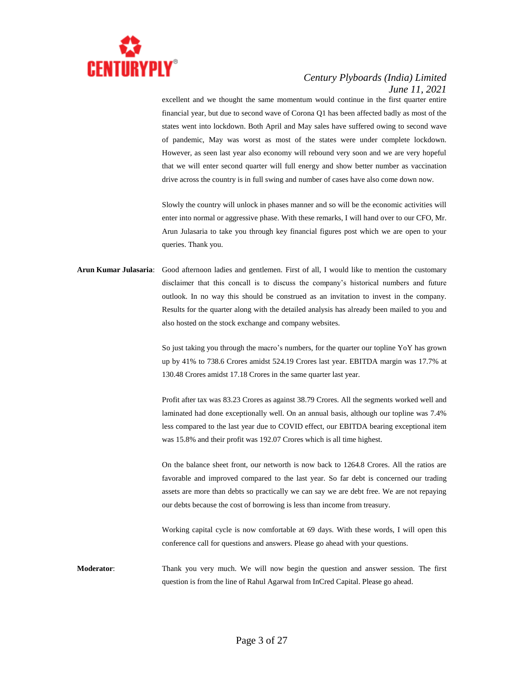

excellent and we thought the same momentum would continue in the first quarter entire financial year, but due to second wave of Corona Q1 has been affected badly as most of the states went into lockdown. Both April and May sales have suffered owing to second wave of pandemic, May was worst as most of the states were under complete lockdown. However, as seen last year also economy will rebound very soon and we are very hopeful that we will enter second quarter will full energy and show better number as vaccination drive across the country is in full swing and number of cases have also come down now.

Slowly the country will unlock in phases manner and so will be the economic activities will enter into normal or aggressive phase. With these remarks, I will hand over to our CFO, Mr. Arun Julasaria to take you through key financial figures post which we are open to your queries. Thank you.

# **Arun Kumar Julasaria**: Good afternoon ladies and gentlemen. First of all, I would like to mention the customary disclaimer that this concall is to discuss the company's historical numbers and future outlook. In no way this should be construed as an invitation to invest in the company. Results for the quarter along with the detailed analysis has already been mailed to you and also hosted on the stock exchange and company websites.

So just taking you through the macro's numbers, for the quarter our topline YoY has grown up by 41% to 738.6 Crores amidst 524.19 Crores last year. EBITDA margin was 17.7% at 130.48 Crores amidst 17.18 Crores in the same quarter last year.

Profit after tax was 83.23 Crores as against 38.79 Crores. All the segments worked well and laminated had done exceptionally well. On an annual basis, although our topline was 7.4% less compared to the last year due to COVID effect, our EBITDA bearing exceptional item was 15.8% and their profit was 192.07 Crores which is all time highest.

On the balance sheet front, our networth is now back to 1264.8 Crores. All the ratios are favorable and improved compared to the last year. So far debt is concerned our trading assets are more than debts so practically we can say we are debt free. We are not repaying our debts because the cost of borrowing is less than income from treasury.

Working capital cycle is now comfortable at 69 days. With these words, I will open this conference call for questions and answers. Please go ahead with your questions.

**Moderator**: Thank you very much. We will now begin the question and answer session. The first question is from the line of Rahul Agarwal from InCred Capital. Please go ahead.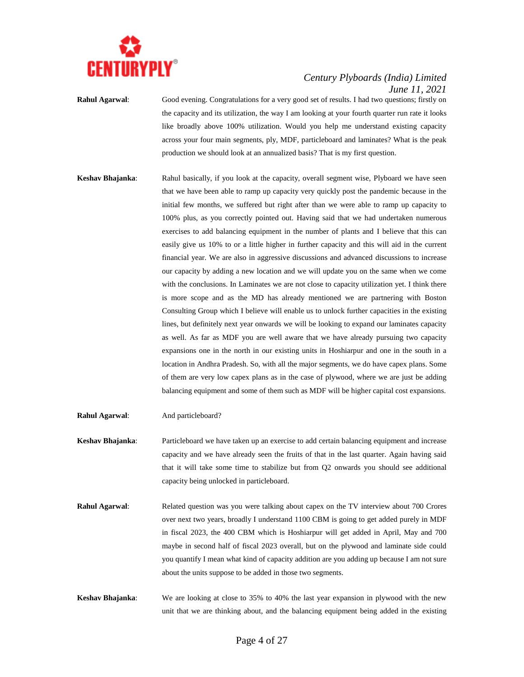

**Rahul Agarwal**: Good evening. Congratulations for a very good set of results. I had two questions; firstly on the capacity and its utilization, the way I am looking at your fourth quarter run rate it looks like broadly above 100% utilization. Would you help me understand existing capacity across your four main segments, ply, MDF, particleboard and laminates? What is the peak production we should look at an annualized basis? That is my first question.

- **Keshav Bhajanka**: Rahul basically, if you look at the capacity, overall segment wise, Plyboard we have seen that we have been able to ramp up capacity very quickly post the pandemic because in the initial few months, we suffered but right after than we were able to ramp up capacity to 100% plus, as you correctly pointed out. Having said that we had undertaken numerous exercises to add balancing equipment in the number of plants and I believe that this can easily give us 10% to or a little higher in further capacity and this will aid in the current financial year. We are also in aggressive discussions and advanced discussions to increase our capacity by adding a new location and we will update you on the same when we come with the conclusions. In Laminates we are not close to capacity utilization yet. I think there is more scope and as the MD has already mentioned we are partnering with Boston Consulting Group which I believe will enable us to unlock further capacities in the existing lines, but definitely next year onwards we will be looking to expand our laminates capacity as well. As far as MDF you are well aware that we have already pursuing two capacity expansions one in the north in our existing units in Hoshiarpur and one in the south in a location in Andhra Pradesh. So, with all the major segments, we do have capex plans. Some of them are very low capex plans as in the case of plywood, where we are just be adding balancing equipment and some of them such as MDF will be higher capital cost expansions.
- **Rahul Agarwal:** And particleboard?
- **Keshav Bhajanka**: Particleboard we have taken up an exercise to add certain balancing equipment and increase capacity and we have already seen the fruits of that in the last quarter. Again having said that it will take some time to stabilize but from Q2 onwards you should see additional capacity being unlocked in particleboard.
- **Rahul Agarwal:** Related question was you were talking about capex on the TV interview about 700 Crores over next two years, broadly I understand 1100 CBM is going to get added purely in MDF in fiscal 2023, the 400 CBM which is Hoshiarpur will get added in April, May and 700 maybe in second half of fiscal 2023 overall, but on the plywood and laminate side could you quantify I mean what kind of capacity addition are you adding up because I am not sure about the units suppose to be added in those two segments.
- **Keshav Bhajanka**: We are looking at close to 35% to 40% the last year expansion in plywood with the new unit that we are thinking about, and the balancing equipment being added in the existing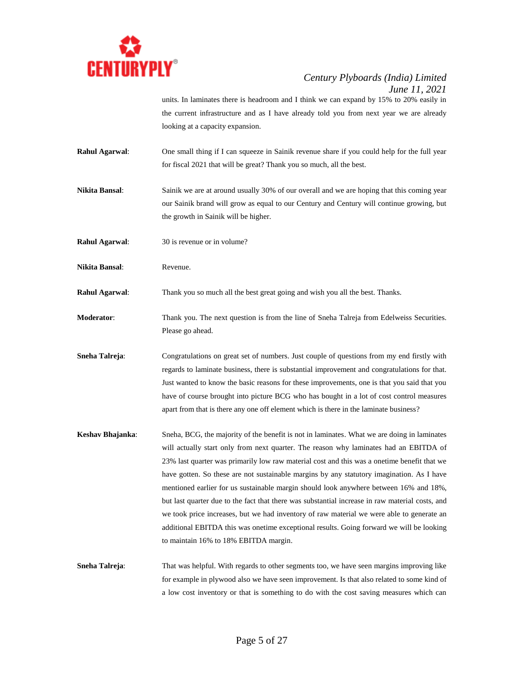

units. In laminates there is headroom and I think we can expand by 15% to 20% easily in the current infrastructure and as I have already told you from next year we are already looking at a capacity expansion.

- **Rahul Agarwal:** One small thing if I can squeeze in Sainik revenue share if you could help for the full year for fiscal 2021 that will be great? Thank you so much, all the best.
- **Nikita Bansal**: Sainik we are at around usually 30% of our overall and we are hoping that this coming year our Sainik brand will grow as equal to our Century and Century will continue growing, but the growth in Sainik will be higher.
- **Rahul Agarwal:** 30 is revenue or in volume?
- **Nikita Bansal**: Revenue.

**Rahul Agarwal**: Thank you so much all the best great going and wish you all the best. Thanks.

- **Moderator**: Thank you. The next question is from the line of Sneha Talreja from Edelweiss Securities. Please go ahead.
- **Sneha Talreja**: Congratulations on great set of numbers. Just couple of questions from my end firstly with regards to laminate business, there is substantial improvement and congratulations for that. Just wanted to know the basic reasons for these improvements, one is that you said that you have of course brought into picture BCG who has bought in a lot of cost control measures apart from that is there any one off element which is there in the laminate business?
- **Keshav Bhajanka**: Sneha, BCG, the majority of the benefit is not in laminates. What we are doing in laminates will actually start only from next quarter. The reason why laminates had an EBITDA of 23% last quarter was primarily low raw material cost and this was a onetime benefit that we have gotten. So these are not sustainable margins by any statutory imagination. As I have mentioned earlier for us sustainable margin should look anywhere between 16% and 18%, but last quarter due to the fact that there was substantial increase in raw material costs, and we took price increases, but we had inventory of raw material we were able to generate an additional EBITDA this was onetime exceptional results. Going forward we will be looking to maintain 16% to 18% EBITDA margin.
- **Sneha Talreja:** That was helpful. With regards to other segments too, we have seen margins improving like for example in plywood also we have seen improvement. Is that also related to some kind of a low cost inventory or that is something to do with the cost saving measures which can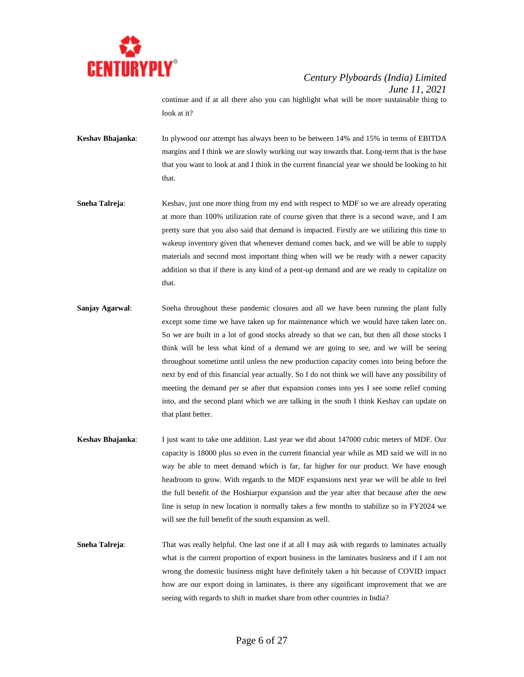

continue and if at all there also you can highlight what will be more sustainable thing to look at it?

- **Keshav Bhajanka**: In plywood our attempt has always been to be between 14% and 15% in terms of EBITDA margins and I think we are slowly working our way towards that. Long-term that is the base that you want to look at and I think in the current financial year we should be looking to hit that.
- **Sneha Talreja:** Keshav, just one more thing from my end with respect to MDF so we are already operating at more than 100% utilization rate of course given that there is a second wave, and I am pretty sure that you also said that demand is impacted. Firstly are we utilizing this time to wakeup inventory given that whenever demand comes back, and we will be able to supply materials and second most important thing when will we be ready with a newer capacity addition so that if there is any kind of a pent-up demand and are we ready to capitalize on that.
- **Sanjay Agarwal:** Sneha throughout these pandemic closures and all we have been running the plant fully except some time we have taken up for maintenance which we would have taken later on. So we are built in a lot of good stocks already so that we can, but then all those stocks I think will be less what kind of a demand we are going to see, and we will be seeing throughout sometime until unless the new production capacity comes into being before the next by end of this financial year actually. So I do not think we will have any possibility of meeting the demand per se after that expansion comes into yes I see some relief coming into, and the second plant which we are talking in the south I think Keshav can update on that plant better.
- **Keshav Bhajanka**: I just want to take one addition. Last year we did about 147000 cubic meters of MDF. Our capacity is 18000 plus so even in the current financial year while as MD said we will in no way be able to meet demand which is far, far higher for our product. We have enough headroom to grow. With regards to the MDF expansions next year we will be able to feel the full benefit of the Hoshiarpur expansion and the year after that because after the new line is setup in new location it normally takes a few months to stabilize so in FY2024 we will see the full benefit of the south expansion as well.
- **Sneha Talreja:** That was really helpful. One last one if at all I may ask with regards to laminates actually what is the current proportion of export business in the laminates business and if I am not wrong the domestic business might have definitely taken a hit because of COVID impact how are our export doing in laminates, is there any significant improvement that we are seeing with regards to shift in market share from other countries in India?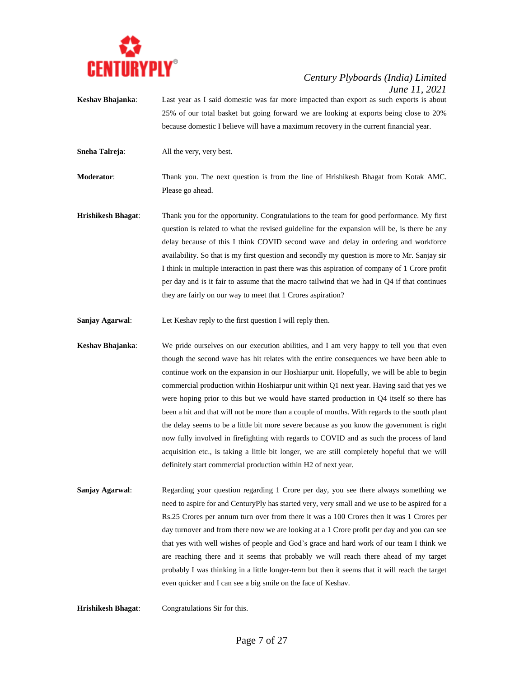

- **Keshav Bhajanka**: Last year as I said domestic was far more impacted than export as such exports is about 25% of our total basket but going forward we are looking at exports being close to 20% because domestic I believe will have a maximum recovery in the current financial year.
- **Sneha Talreja**: All the very, very best.

**Moderator**: Thank you. The next question is from the line of Hrishikesh Bhagat from Kotak AMC. Please go ahead.

- **Hrishikesh Bhagat**: Thank you for the opportunity. Congratulations to the team for good performance. My first question is related to what the revised guideline for the expansion will be, is there be any delay because of this I think COVID second wave and delay in ordering and workforce availability. So that is my first question and secondly my question is more to Mr. Sanjay sir I think in multiple interaction in past there was this aspiration of company of 1 Crore profit per day and is it fair to assume that the macro tailwind that we had in Q4 if that continues they are fairly on our way to meet that 1 Crores aspiration?
- **Sanjay Agarwal**: Let Keshav reply to the first question I will reply then.
- **Keshav Bhajanka**: We pride ourselves on our execution abilities, and I am very happy to tell you that even though the second wave has hit relates with the entire consequences we have been able to continue work on the expansion in our Hoshiarpur unit. Hopefully, we will be able to begin commercial production within Hoshiarpur unit within Q1 next year. Having said that yes we were hoping prior to this but we would have started production in Q4 itself so there has been a hit and that will not be more than a couple of months. With regards to the south plant the delay seems to be a little bit more severe because as you know the government is right now fully involved in firefighting with regards to COVID and as such the process of land acquisition etc., is taking a little bit longer, we are still completely hopeful that we will definitely start commercial production within H2 of next year.
- **Sanjay Agarwal:** Regarding your question regarding 1 Crore per day, you see there always something we need to aspire for and CenturyPly has started very, very small and we use to be aspired for a Rs.25 Crores per annum turn over from there it was a 100 Crores then it was 1 Crores per day turnover and from there now we are looking at a 1 Crore profit per day and you can see that yes with well wishes of people and God's grace and hard work of our team I think we are reaching there and it seems that probably we will reach there ahead of my target probably I was thinking in a little longer-term but then it seems that it will reach the target even quicker and I can see a big smile on the face of Keshav.
- **Hrishikesh Bhagat**: Congratulations Sir for this.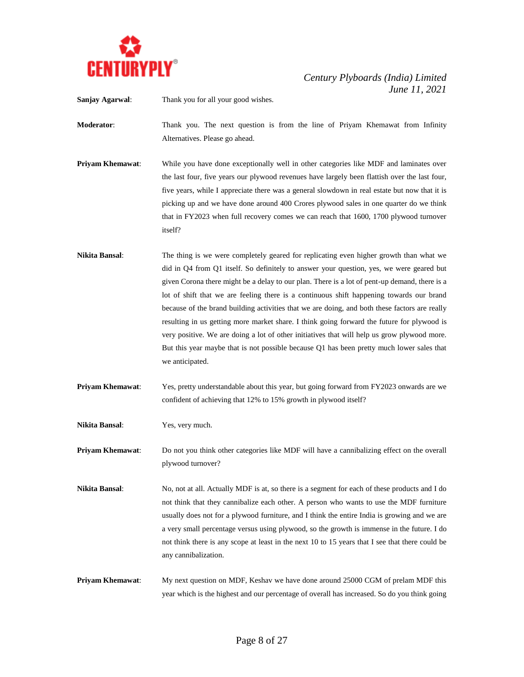

**Sanjay Agarwal**: Thank you for all your good wishes.

**Moderator**: Thank you. The next question is from the line of Priyam Khemawat from Infinity Alternatives. Please go ahead.

- **Priyam Khemawat:** While you have done exceptionally well in other categories like MDF and laminates over the last four, five years our plywood revenues have largely been flattish over the last four, five years, while I appreciate there was a general slowdown in real estate but now that it is picking up and we have done around 400 Crores plywood sales in one quarter do we think that in FY2023 when full recovery comes we can reach that 1600, 1700 plywood turnover itself?
- **Nikita Bansal**: The thing is we were completely geared for replicating even higher growth than what we did in Q4 from Q1 itself. So definitely to answer your question, yes, we were geared but given Corona there might be a delay to our plan. There is a lot of pent-up demand, there is a lot of shift that we are feeling there is a continuous shift happening towards our brand because of the brand building activities that we are doing, and both these factors are really resulting in us getting more market share. I think going forward the future for plywood is very positive. We are doing a lot of other initiatives that will help us grow plywood more. But this year maybe that is not possible because Q1 has been pretty much lower sales that we anticipated.
- **Priyam Khemawat**: Yes, pretty understandable about this year, but going forward from FY2023 onwards are we confident of achieving that 12% to 15% growth in plywood itself?

**Nikita Bansal**: Yes, very much.

**Priyam Khemawat**: Do not you think other categories like MDF will have a cannibalizing effect on the overall plywood turnover?

- **Nikita Bansal**: No, not at all. Actually MDF is at, so there is a segment for each of these products and I do not think that they cannibalize each other. A person who wants to use the MDF furniture usually does not for a plywood furniture, and I think the entire India is growing and we are a very small percentage versus using plywood, so the growth is immense in the future. I do not think there is any scope at least in the next 10 to 15 years that I see that there could be any cannibalization.
- **Priyam Khemawat**: My next question on MDF, Keshav we have done around 25000 CGM of prelam MDF this year which is the highest and our percentage of overall has increased. So do you think going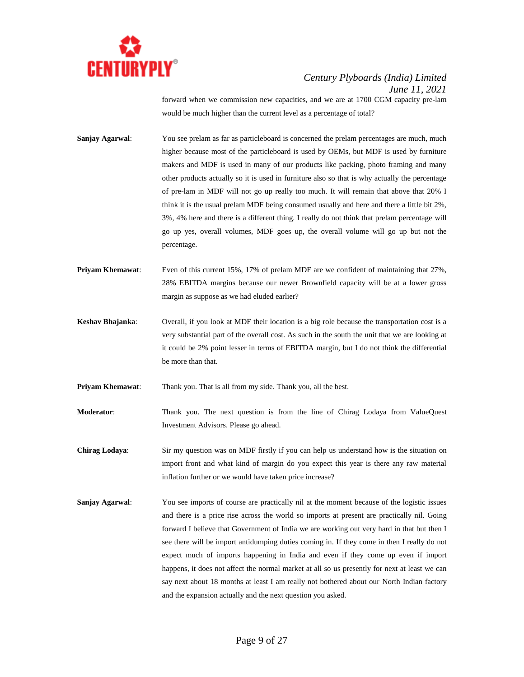

forward when we commission new capacities, and we are at 1700 CGM capacity pre-lam would be much higher than the current level as a percentage of total?

- **Sanjay Agarwal:** You see prelam as far as particleboard is concerned the prelam percentages are much, much higher because most of the particleboard is used by OEMs, but MDF is used by furniture makers and MDF is used in many of our products like packing, photo framing and many other products actually so it is used in furniture also so that is why actually the percentage of pre-lam in MDF will not go up really too much. It will remain that above that 20% I think it is the usual prelam MDF being consumed usually and here and there a little bit 2%, 3%, 4% here and there is a different thing. I really do not think that prelam percentage will go up yes, overall volumes, MDF goes up, the overall volume will go up but not the percentage.
- **Priyam Khemawat:** Even of this current 15%, 17% of prelam MDF are we confident of maintaining that 27%, 28% EBITDA margins because our newer Brownfield capacity will be at a lower gross margin as suppose as we had eluded earlier?
- **Keshav Bhajanka**: Overall, if you look at MDF their location is a big role because the transportation cost is a very substantial part of the overall cost. As such in the south the unit that we are looking at it could be 2% point lesser in terms of EBITDA margin, but I do not think the differential be more than that.
- **Priyam Khemawat:** Thank you. That is all from my side. Thank you, all the best.
- **Moderator:** Thank you. The next question is from the line of Chirag Lodaya from ValueQuest Investment Advisors. Please go ahead.
- **Chirag Lodaya**: Sir my question was on MDF firstly if you can help us understand how is the situation on import front and what kind of margin do you expect this year is there any raw material inflation further or we would have taken price increase?
- **Sanjay Agarwal**: You see imports of course are practically nil at the moment because of the logistic issues and there is a price rise across the world so imports at present are practically nil. Going forward I believe that Government of India we are working out very hard in that but then I see there will be import antidumping duties coming in. If they come in then I really do not expect much of imports happening in India and even if they come up even if import happens, it does not affect the normal market at all so us presently for next at least we can say next about 18 months at least I am really not bothered about our North Indian factory and the expansion actually and the next question you asked.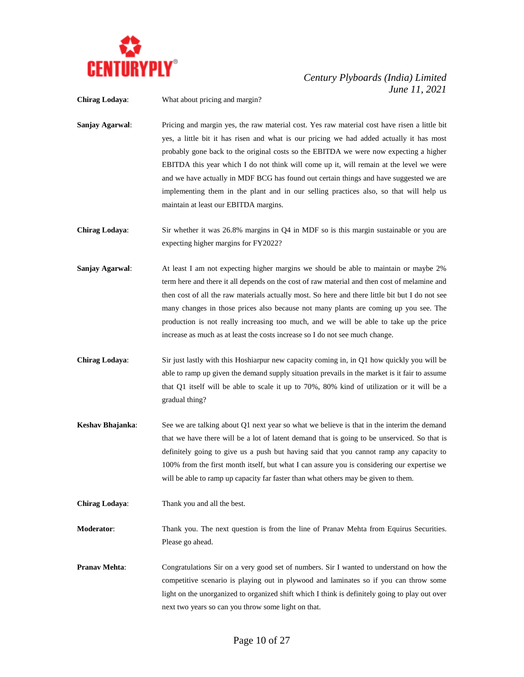

**Chirag Lodaya**: What about pricing and margin?

- **Sanjay Agarwal**: Pricing and margin yes, the raw material cost. Yes raw material cost have risen a little bit yes, a little bit it has risen and what is our pricing we had added actually it has most probably gone back to the original costs so the EBITDA we were now expecting a higher EBITDA this year which I do not think will come up it, will remain at the level we were and we have actually in MDF BCG has found out certain things and have suggested we are implementing them in the plant and in our selling practices also, so that will help us maintain at least our EBITDA margins.
- **Chirag Lodaya**: Sir whether it was 26.8% margins in Q4 in MDF so is this margin sustainable or you are expecting higher margins for FY2022?
- **Sanjay Agarwal:** At least I am not expecting higher margins we should be able to maintain or maybe 2% term here and there it all depends on the cost of raw material and then cost of melamine and then cost of all the raw materials actually most. So here and there little bit but I do not see many changes in those prices also because not many plants are coming up you see. The production is not really increasing too much, and we will be able to take up the price increase as much as at least the costs increase so I do not see much change.
- **Chirag Lodaya**: Sir just lastly with this Hoshiarpur new capacity coming in, in Q1 how quickly you will be able to ramp up given the demand supply situation prevails in the market is it fair to assume that Q1 itself will be able to scale it up to 70%, 80% kind of utilization or it will be a gradual thing?
- **Keshav Bhajanka**: See we are talking about Q1 next year so what we believe is that in the interim the demand that we have there will be a lot of latent demand that is going to be unserviced. So that is definitely going to give us a push but having said that you cannot ramp any capacity to 100% from the first month itself, but what I can assure you is considering our expertise we will be able to ramp up capacity far faster than what others may be given to them.
- **Chirag Lodaya**: Thank you and all the best.
- **Moderator**: Thank you. The next question is from the line of Pranav Mehta from Equirus Securities. Please go ahead.
- **Pranav Mehta**: Congratulations Sir on a very good set of numbers. Sir I wanted to understand on how the competitive scenario is playing out in plywood and laminates so if you can throw some light on the unorganized to organized shift which I think is definitely going to play out over next two years so can you throw some light on that.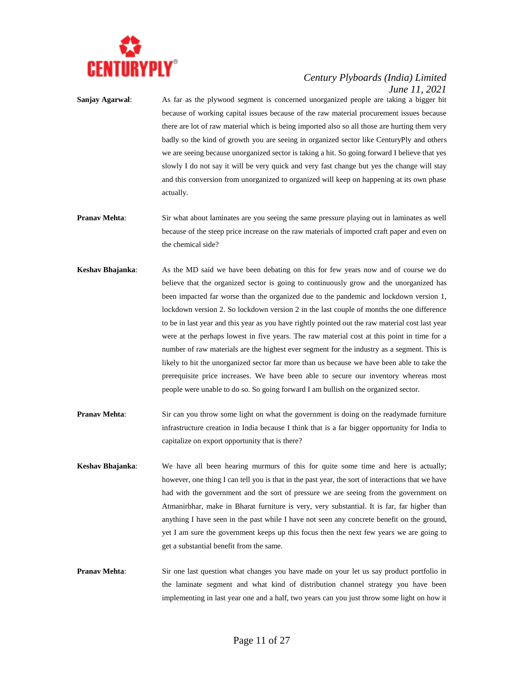

**Sanjay Agarwal**: As far as the plywood segment is concerned unorganized people are taking a bigger hit because of working capital issues because of the raw material procurement issues because there are lot of raw material which is being imported also so all those are hurting them very badly so the kind of growth you are seeing in organized sector like CenturyPly and others we are seeing because unorganized sector is taking a hit. So going forward I believe that yes slowly I do not say it will be very quick and very fast change but yes the change will stay and this conversion from unorganized to organized will keep on happening at its own phase actually.

- **Pranav Mehta:** Sir what about laminates are you seeing the same pressure playing out in laminates as well because of the steep price increase on the raw materials of imported craft paper and even on the chemical side?
- **Keshav Bhajanka**: As the MD said we have been debating on this for few years now and of course we do believe that the organized sector is going to continuously grow and the unorganized has been impacted far worse than the organized due to the pandemic and lockdown version 1, lockdown version 2. So lockdown version 2 in the last couple of months the one difference to be in last year and this year as you have rightly pointed out the raw material cost last year were at the perhaps lowest in five years. The raw material cost at this point in time for a number of raw materials are the highest ever segment for the industry as a segment. This is likely to hit the unorganized sector far more than us because we have been able to take the prerequisite price increases. We have been able to secure our inventory whereas most people were unable to do so. So going forward I am bullish on the organized sector.
- **Pranav Mehta:** Sir can you throw some light on what the government is doing on the readymade furniture infrastructure creation in India because I think that is a far bigger opportunity for India to capitalize on export opportunity that is there?
- **Keshav Bhajanka**: We have all been hearing murmurs of this for quite some time and here is actually; however, one thing I can tell you is that in the past year, the sort of interactions that we have had with the government and the sort of pressure we are seeing from the government on Atmanirbhar, make in Bharat furniture is very, very substantial. It is far, far higher than anything I have seen in the past while I have not seen any concrete benefit on the ground, yet I am sure the government keeps up this focus then the next few years we are going to get a substantial benefit from the same.
- **Pranav Mehta:** Sir one last question what changes you have made on your let us say product portfolio in the laminate segment and what kind of distribution channel strategy you have been implementing in last year one and a half, two years can you just throw some light on how it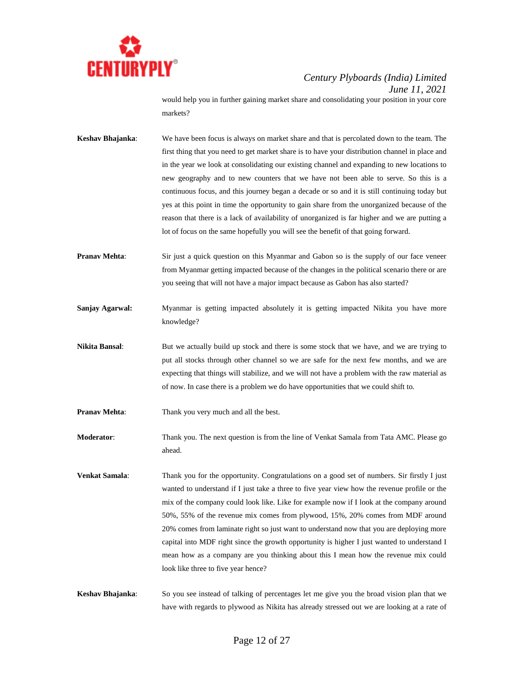

would help you in further gaining market share and consolidating your position in your core markets?

- **Keshav Bhajanka**: We have been focus is always on market share and that is percolated down to the team. The first thing that you need to get market share is to have your distribution channel in place and in the year we look at consolidating our existing channel and expanding to new locations to new geography and to new counters that we have not been able to serve. So this is a continuous focus, and this journey began a decade or so and it is still continuing today but yes at this point in time the opportunity to gain share from the unorganized because of the reason that there is a lack of availability of unorganized is far higher and we are putting a lot of focus on the same hopefully you will see the benefit of that going forward.
- **Pranav Mehta**: Sir just a quick question on this Myanmar and Gabon so is the supply of our face veneer from Myanmar getting impacted because of the changes in the political scenario there or are you seeing that will not have a major impact because as Gabon has also started?
- **Sanjay Agarwal:** Myanmar is getting impacted absolutely it is getting impacted Nikita you have more knowledge?
- **Nikita Bansal:** But we actually build up stock and there is some stock that we have, and we are trying to put all stocks through other channel so we are safe for the next few months, and we are expecting that things will stabilize, and we will not have a problem with the raw material as of now. In case there is a problem we do have opportunities that we could shift to.
- **Pranav Mehta:** Thank you very much and all the best.
- **Moderator**: Thank you. The next question is from the line of Venkat Samala from Tata AMC. Please go ahead.
- **Venkat Samala**: Thank you for the opportunity. Congratulations on a good set of numbers. Sir firstly I just wanted to understand if I just take a three to five year view how the revenue profile or the mix of the company could look like. Like for example now if I look at the company around 50%, 55% of the revenue mix comes from plywood, 15%, 20% comes from MDF around 20% comes from laminate right so just want to understand now that you are deploying more capital into MDF right since the growth opportunity is higher I just wanted to understand I mean how as a company are you thinking about this I mean how the revenue mix could look like three to five year hence?
- **Keshav Bhajanka**: So you see instead of talking of percentages let me give you the broad vision plan that we have with regards to plywood as Nikita has already stressed out we are looking at a rate of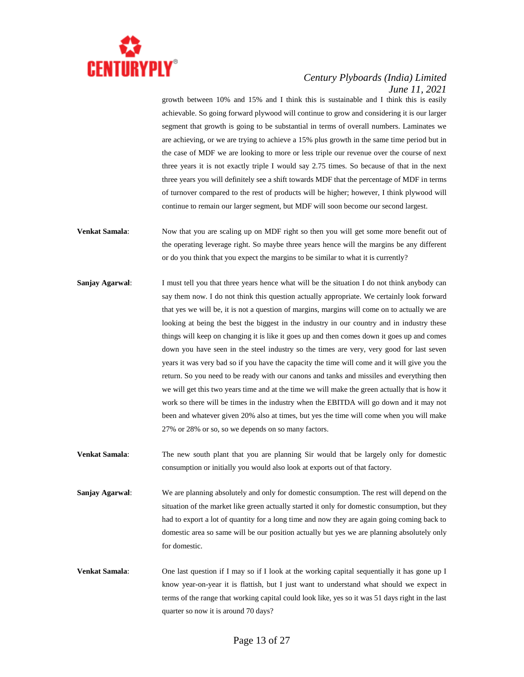

growth between 10% and 15% and I think this is sustainable and I think this is easily achievable. So going forward plywood will continue to grow and considering it is our larger segment that growth is going to be substantial in terms of overall numbers. Laminates we are achieving, or we are trying to achieve a 15% plus growth in the same time period but in the case of MDF we are looking to more or less triple our revenue over the course of next three years it is not exactly triple I would say 2.75 times. So because of that in the next three years you will definitely see a shift towards MDF that the percentage of MDF in terms of turnover compared to the rest of products will be higher; however, I think plywood will continue to remain our larger segment, but MDF will soon become our second largest.

- **Venkat Samala**: Now that you are scaling up on MDF right so then you will get some more benefit out of the operating leverage right. So maybe three years hence will the margins be any different or do you think that you expect the margins to be similar to what it is currently?
- **Sanjay Agarwal:** I must tell you that three years hence what will be the situation I do not think anybody can say them now. I do not think this question actually appropriate. We certainly look forward that yes we will be, it is not a question of margins, margins will come on to actually we are looking at being the best the biggest in the industry in our country and in industry these things will keep on changing it is like it goes up and then comes down it goes up and comes down you have seen in the steel industry so the times are very, very good for last seven years it was very bad so if you have the capacity the time will come and it will give you the return. So you need to be ready with our canons and tanks and missiles and everything then we will get this two years time and at the time we will make the green actually that is how it work so there will be times in the industry when the EBITDA will go down and it may not been and whatever given 20% also at times, but yes the time will come when you will make 27% or 28% or so, so we depends on so many factors.
- **Venkat Samala**: The new south plant that you are planning Sir would that be largely only for domestic consumption or initially you would also look at exports out of that factory.
- **Sanjay Agarwal**: We are planning absolutely and only for domestic consumption. The rest will depend on the situation of the market like green actually started it only for domestic consumption, but they had to export a lot of quantity for a long time and now they are again going coming back to domestic area so same will be our position actually but yes we are planning absolutely only for domestic.
- **Venkat Samala:** One last question if I may so if I look at the working capital sequentially it has gone up I know year-on-year it is flattish, but I just want to understand what should we expect in terms of the range that working capital could look like, yes so it was 51 days right in the last quarter so now it is around 70 days?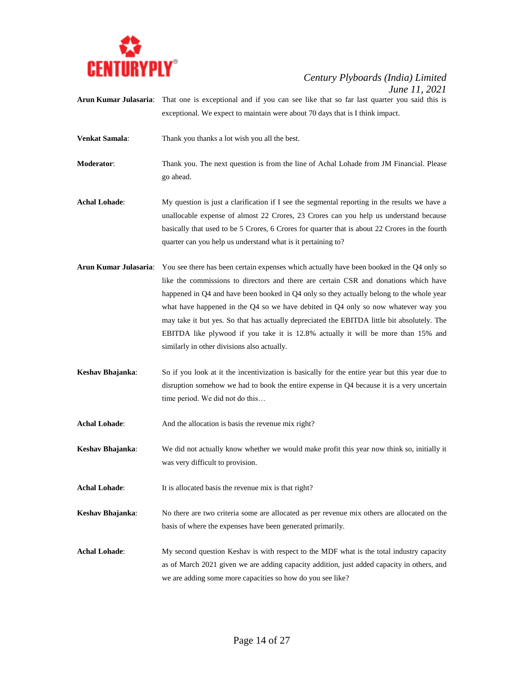

- Arun Kumar Julasaria: That one is exceptional and if you can see like that so far last quarter you said this is exceptional. We expect to maintain were about 70 days that is I think impact.
- **Venkat Samala**: Thank you thanks a lot wish you all the best.
- **Moderator**: Thank you. The next question is from the line of Achal Lohade from JM Financial. Please go ahead.
- Achal Lohade: My question is just a clarification if I see the segmental reporting in the results we have a unallocable expense of almost 22 Crores, 23 Crores can you help us understand because basically that used to be 5 Crores, 6 Crores for quarter that is about 22 Crores in the fourth quarter can you help us understand what is it pertaining to?
- **Arun Kumar Julasaria**: You see there has been certain expenses which actually have been booked in the Q4 only so like the commissions to directors and there are certain CSR and donations which have happened in Q4 and have been booked in Q4 only so they actually belong to the whole year what have happened in the Q4 so we have debited in Q4 only so now whatever way you may take it but yes. So that has actually depreciated the EBITDA little bit absolutely. The EBITDA like plywood if you take it is 12.8% actually it will be more than 15% and similarly in other divisions also actually.
- **Keshav Bhajanka**: So if you look at it the incentivization is basically for the entire year but this year due to disruption somehow we had to book the entire expense in Q4 because it is a very uncertain time period. We did not do this…
- Achal Lohade: And the allocation is basis the revenue mix right?

**Keshav Bhajanka**: We did not actually know whether we would make profit this year now think so, initially it was very difficult to provision.

- Achal Lohade: It is allocated basis the revenue mix is that right?
- **Keshav Bhajanka**: No there are two criteria some are allocated as per revenue mix others are allocated on the basis of where the expenses have been generated primarily.
- **Achal Lohade:** My second question Keshav is with respect to the MDF what is the total industry capacity as of March 2021 given we are adding capacity addition, just added capacity in others, and we are adding some more capacities so how do you see like?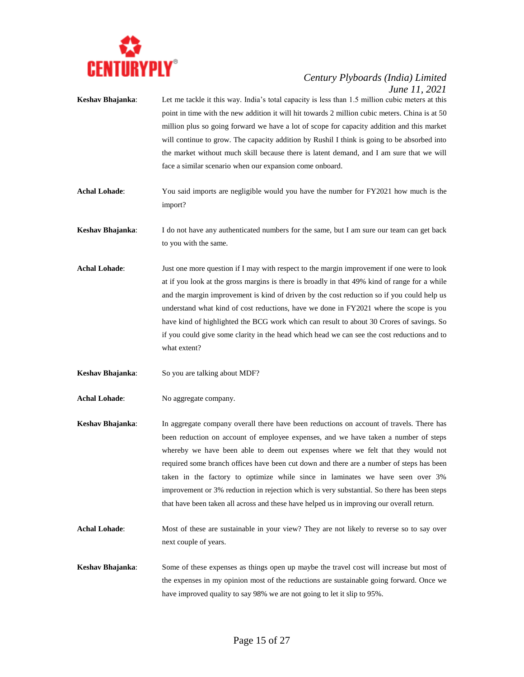

- **Keshav Bhajanka**: Let me tackle it this way. India's total capacity is less than 1.5 million cubic meters at this point in time with the new addition it will hit towards 2 million cubic meters. China is at 50 million plus so going forward we have a lot of scope for capacity addition and this market will continue to grow. The capacity addition by Rushil I think is going to be absorbed into the market without much skill because there is latent demand, and I am sure that we will face a similar scenario when our expansion come onboard. **Achal Lohade**: You said imports are negligible would you have the number for FY2021 how much is the import? **Keshav Bhajanka**: I do not have any authenticated numbers for the same, but I am sure our team can get back to you with the same. **Achal Lohade**: Just one more question if I may with respect to the margin improvement if one were to look at if you look at the gross margins is there is broadly in that 49% kind of range for a while and the margin improvement is kind of driven by the cost reduction so if you could help us understand what kind of cost reductions, have we done in FY2021 where the scope is you have kind of highlighted the BCG work which can result to about 30 Crores of savings. So if you could give some clarity in the head which head we can see the cost reductions and to what extent?
- **Keshav Bhajanka:** So you are talking about MDF?
- Achal Lohade: No aggregate company.
- **Keshav Bhajanka**: In aggregate company overall there have been reductions on account of travels. There has been reduction on account of employee expenses, and we have taken a number of steps whereby we have been able to deem out expenses where we felt that they would not required some branch offices have been cut down and there are a number of steps has been taken in the factory to optimize while since in laminates we have seen over 3% improvement or 3% reduction in rejection which is very substantial. So there has been steps that have been taken all across and these have helped us in improving our overall return.
- Achal Lohade: Most of these are sustainable in your view? They are not likely to reverse so to say over next couple of years.
- **Keshav Bhajanka**: Some of these expenses as things open up maybe the travel cost will increase but most of the expenses in my opinion most of the reductions are sustainable going forward. Once we have improved quality to say 98% we are not going to let it slip to 95%.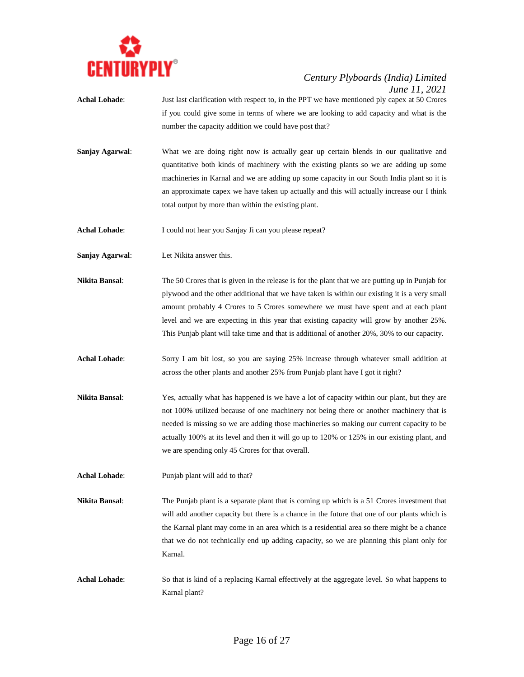

- **Achal Lohade**: Just last clarification with respect to, in the PPT we have mentioned ply capex at 50 Crores if you could give some in terms of where we are looking to add capacity and what is the number the capacity addition we could have post that?
- **Sanjay Agarwal:** What we are doing right now is actually gear up certain blends in our qualitative and quantitative both kinds of machinery with the existing plants so we are adding up some machineries in Karnal and we are adding up some capacity in our South India plant so it is an approximate capex we have taken up actually and this will actually increase our I think total output by more than within the existing plant.
- Achal Lohade: I could not hear you Sanjay Ji can you please repeat?
- **Sanjay Agarwal**: Let Nikita answer this.
- **Nikita Bansal**: The 50 Crores that is given in the release is for the plant that we are putting up in Punjab for plywood and the other additional that we have taken is within our existing it is a very small amount probably 4 Crores to 5 Crores somewhere we must have spent and at each plant level and we are expecting in this year that existing capacity will grow by another 25%. This Punjab plant will take time and that is additional of another 20%, 30% to our capacity.
- **Achal Lohade**: Sorry I am bit lost, so you are saying 25% increase through whatever small addition at across the other plants and another 25% from Punjab plant have I got it right?
- **Nikita Bansal**: Yes, actually what has happened is we have a lot of capacity within our plant, but they are not 100% utilized because of one machinery not being there or another machinery that is needed is missing so we are adding those machineries so making our current capacity to be actually 100% at its level and then it will go up to 120% or 125% in our existing plant, and we are spending only 45 Crores for that overall.
- **Achal Lohade**: Punjab plant will add to that?
- **Nikita Bansal:** The Punjab plant is a separate plant that is coming up which is a 51 Crores investment that will add another capacity but there is a chance in the future that one of our plants which is the Karnal plant may come in an area which is a residential area so there might be a chance that we do not technically end up adding capacity, so we are planning this plant only for Karnal.
- **Achal Lohade:** So that is kind of a replacing Karnal effectively at the aggregate level. So what happens to Karnal plant?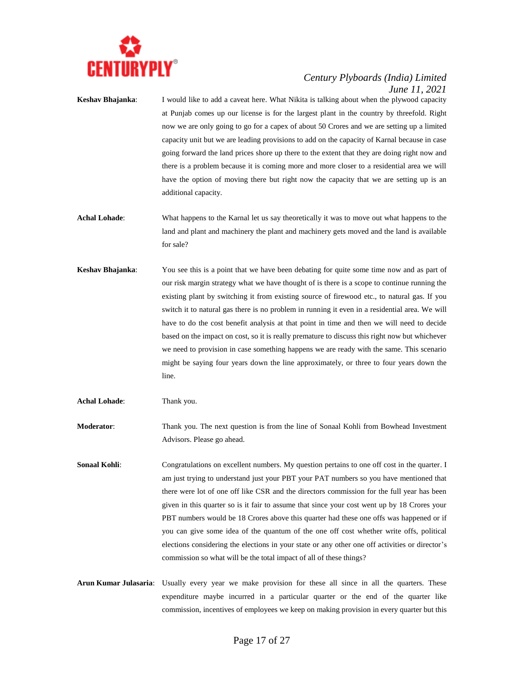

**Keshav Bhajanka**: I would like to add a caveat here. What Nikita is talking about when the plywood capacity at Punjab comes up our license is for the largest plant in the country by threefold. Right now we are only going to go for a capex of about 50 Crores and we are setting up a limited capacity unit but we are leading provisions to add on the capacity of Karnal because in case going forward the land prices shore up there to the extent that they are doing right now and there is a problem because it is coming more and more closer to a residential area we will have the option of moving there but right now the capacity that we are setting up is an additional capacity.

- **Achal Lohade**: What happens to the Karnal let us say theoretically it was to move out what happens to the land and plant and machinery the plant and machinery gets moved and the land is available for sale?
- **Keshav Bhajanka**: You see this is a point that we have been debating for quite some time now and as part of our risk margin strategy what we have thought of is there is a scope to continue running the existing plant by switching it from existing source of firewood etc., to natural gas. If you switch it to natural gas there is no problem in running it even in a residential area. We will have to do the cost benefit analysis at that point in time and then we will need to decide based on the impact on cost, so it is really premature to discuss this right now but whichever we need to provision in case something happens we are ready with the same. This scenario might be saying four years down the line approximately, or three to four years down the line.

**Achal Lohade**: Thank you.

**Moderator**: Thank you. The next question is from the line of Sonaal Kohli from Bowhead Investment Advisors. Please go ahead.

- **Sonaal Kohli:** Congratulations on excellent numbers. My question pertains to one off cost in the quarter. I am just trying to understand just your PBT your PAT numbers so you have mentioned that there were lot of one off like CSR and the directors commission for the full year has been given in this quarter so is it fair to assume that since your cost went up by 18 Crores your PBT numbers would be 18 Crores above this quarter had these one offs was happened or if you can give some idea of the quantum of the one off cost whether write offs, political elections considering the elections in your state or any other one off activities or director's commission so what will be the total impact of all of these things?
- **Arun Kumar Julasaria**: Usually every year we make provision for these all since in all the quarters. These expenditure maybe incurred in a particular quarter or the end of the quarter like commission, incentives of employees we keep on making provision in every quarter but this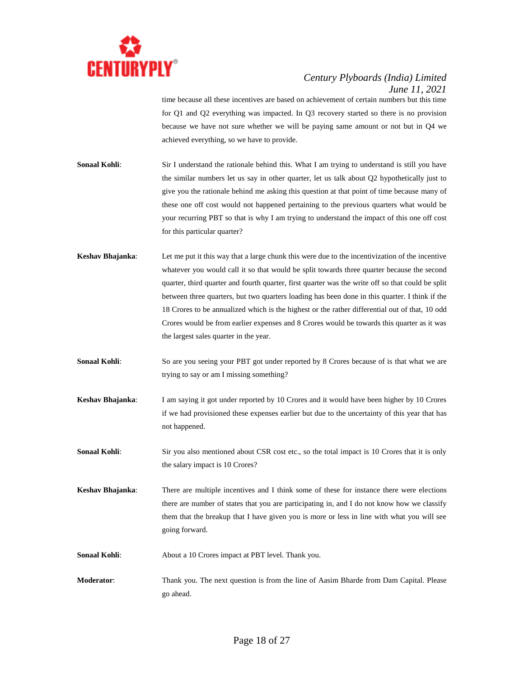

time because all these incentives are based on achievement of certain numbers but this time for Q1 and Q2 everything was impacted. In Q3 recovery started so there is no provision because we have not sure whether we will be paying same amount or not but in Q4 we achieved everything, so we have to provide.

**Sonaal Kohli:** Sir I understand the rationale behind this. What I am trying to understand is still you have the similar numbers let us say in other quarter, let us talk about Q2 hypothetically just to give you the rationale behind me asking this question at that point of time because many of these one off cost would not happened pertaining to the previous quarters what would be your recurring PBT so that is why I am trying to understand the impact of this one off cost for this particular quarter?

- **Keshav Bhajanka**: Let me put it this way that a large chunk this were due to the incentivization of the incentive whatever you would call it so that would be split towards three quarter because the second quarter, third quarter and fourth quarter, first quarter was the write off so that could be split between three quarters, but two quarters loading has been done in this quarter. I think if the 18 Crores to be annualized which is the highest or the rather differential out of that, 10 odd Crores would be from earlier expenses and 8 Crores would be towards this quarter as it was the largest sales quarter in the year.
- **Sonaal Kohli:** So are you seeing your PBT got under reported by 8 Crores because of is that what we are trying to say or am I missing something?
- **Keshav Bhajanka**: I am saying it got under reported by 10 Crores and it would have been higher by 10 Crores if we had provisioned these expenses earlier but due to the uncertainty of this year that has not happened.
- **Sonaal Kohli:** Sir you also mentioned about CSR cost etc., so the total impact is 10 Crores that it is only the salary impact is 10 Crores?
- **Keshav Bhajanka**: There are multiple incentives and I think some of these for instance there were elections there are number of states that you are participating in, and I do not know how we classify them that the breakup that I have given you is more or less in line with what you will see going forward.
- **Sonaal Kohli:** About a 10 Crores impact at PBT level. Thank you.
- **Moderator**: Thank you. The next question is from the line of Aasim Bharde from Dam Capital. Please go ahead.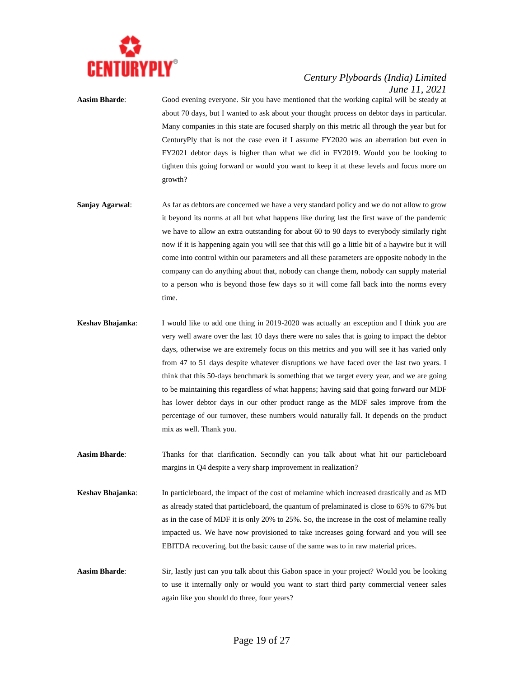

**Aasim Bharde**: Good evening everyone. Sir you have mentioned that the working capital will be steady at about 70 days, but I wanted to ask about your thought process on debtor days in particular. Many companies in this state are focused sharply on this metric all through the year but for CenturyPly that is not the case even if I assume FY2020 was an aberration but even in FY2021 debtor days is higher than what we did in FY2019. Would you be looking to tighten this going forward or would you want to keep it at these levels and focus more on growth?

- **Sanjay Agarwal:** As far as debtors are concerned we have a very standard policy and we do not allow to grow it beyond its norms at all but what happens like during last the first wave of the pandemic we have to allow an extra outstanding for about 60 to 90 days to everybody similarly right now if it is happening again you will see that this will go a little bit of a haywire but it will come into control within our parameters and all these parameters are opposite nobody in the company can do anything about that, nobody can change them, nobody can supply material to a person who is beyond those few days so it will come fall back into the norms every time.
- **Keshav Bhajanka**: I would like to add one thing in 2019-2020 was actually an exception and I think you are very well aware over the last 10 days there were no sales that is going to impact the debtor days, otherwise we are extremely focus on this metrics and you will see it has varied only from 47 to 51 days despite whatever disruptions we have faced over the last two years. I think that this 50-days benchmark is something that we target every year, and we are going to be maintaining this regardless of what happens; having said that going forward our MDF has lower debtor days in our other product range as the MDF sales improve from the percentage of our turnover, these numbers would naturally fall. It depends on the product mix as well. Thank you.
- **Aasim Bharde**: Thanks for that clarification. Secondly can you talk about what hit our particleboard margins in Q4 despite a very sharp improvement in realization?
- **Keshav Bhajanka**: In particleboard, the impact of the cost of melamine which increased drastically and as MD as already stated that particleboard, the quantum of prelaminated is close to 65% to 67% but as in the case of MDF it is only 20% to 25%. So, the increase in the cost of melamine really impacted us. We have now provisioned to take increases going forward and you will see EBITDA recovering, but the basic cause of the same was to in raw material prices.
- **Aasim Bharde**: Sir, lastly just can you talk about this Gabon space in your project? Would you be looking to use it internally only or would you want to start third party commercial veneer sales again like you should do three, four years?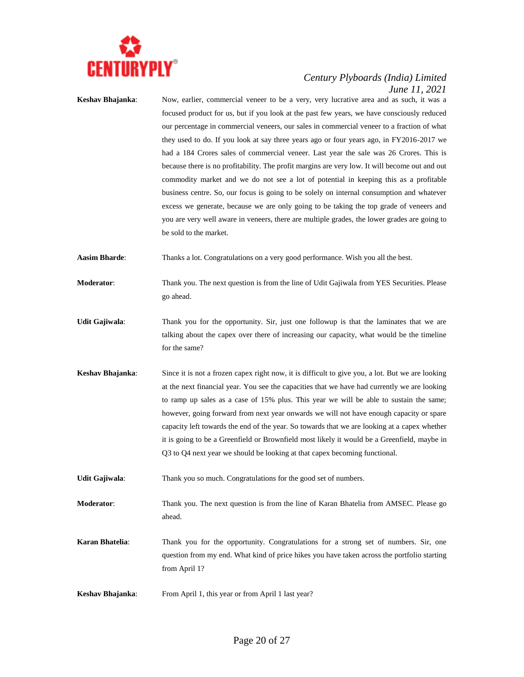

**Keshav Bhajanka**: Now, earlier, commercial veneer to be a very, very lucrative area and as such, it was a focused product for us, but if you look at the past few years, we have consciously reduced our percentage in commercial veneers, our sales in commercial veneer to a fraction of what they used to do. If you look at say three years ago or four years ago, in FY2016-2017 we had a 184 Crores sales of commercial veneer. Last year the sale was 26 Crores. This is because there is no profitability. The profit margins are very low. It will become out and out commodity market and we do not see a lot of potential in keeping this as a profitable business centre. So, our focus is going to be solely on internal consumption and whatever excess we generate, because we are only going to be taking the top grade of veneers and you are very well aware in veneers, there are multiple grades, the lower grades are going to be sold to the market.

**Aasim Bharde**: Thanks a lot. Congratulations on a very good performance. Wish you all the best.

- **Moderator:** Thank you. The next question is from the line of Udit Gajiwala from YES Securities. Please go ahead.
- **Udit Gajiwala**: Thank you for the opportunity. Sir, just one followup is that the laminates that we are talking about the capex over there of increasing our capacity, what would be the timeline for the same?
- **Keshav Bhajanka**: Since it is not a frozen capex right now, it is difficult to give you, a lot. But we are looking at the next financial year. You see the capacities that we have had currently we are looking to ramp up sales as a case of 15% plus. This year we will be able to sustain the same; however, going forward from next year onwards we will not have enough capacity or spare capacity left towards the end of the year. So towards that we are looking at a capex whether it is going to be a Greenfield or Brownfield most likely it would be a Greenfield, maybe in Q3 to Q4 next year we should be looking at that capex becoming functional.
- **Udit Gajiwala**: Thank you so much. Congratulations for the good set of numbers.
- **Moderator**: Thank you. The next question is from the line of Karan Bhatelia from AMSEC. Please go ahead.
- **Karan Bhatelia:** Thank you for the opportunity. Congratulations for a strong set of numbers. Sir, one question from my end. What kind of price hikes you have taken across the portfolio starting from April 1?
- **Keshav Bhajanka:** From April 1, this year or from April 1 last year?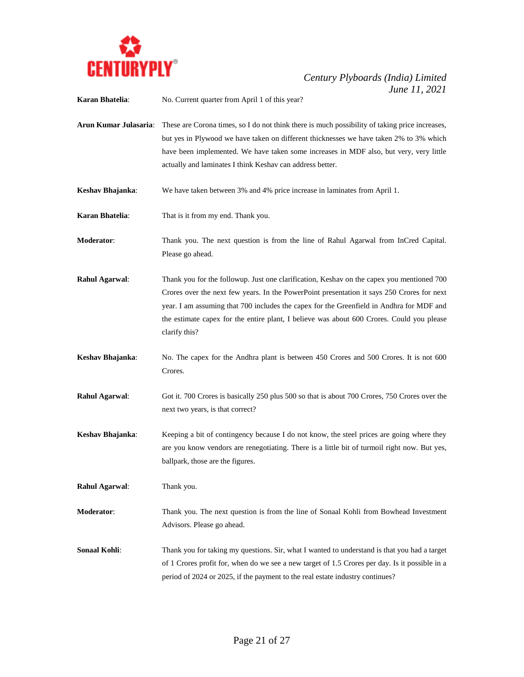

**Karan Bhatelia**: No. Current quarter from April 1 of this year?

**Arun Kumar Julasaria**: These are Corona times, so I do not think there is much possibility of taking price increases, but yes in Plywood we have taken on different thicknesses we have taken 2% to 3% which have been implemented. We have taken some increases in MDF also, but very, very little actually and laminates I think Keshav can address better.

**Keshav Bhajanka**: We have taken between 3% and 4% price increase in laminates from April 1.

**Karan Bhatelia**: That is it from my end. Thank you.

**Moderator**: Thank you. The next question is from the line of Rahul Agarwal from InCred Capital. Please go ahead.

- **Rahul Agarwal:** Thank you for the followup. Just one clarification, Keshav on the capex you mentioned 700 Crores over the next few years. In the PowerPoint presentation it says 250 Crores for next year. I am assuming that 700 includes the capex for the Greenfield in Andhra for MDF and the estimate capex for the entire plant, I believe was about 600 Crores. Could you please clarify this?
- **Keshav Bhajanka**: No. The capex for the Andhra plant is between 450 Crores and 500 Crores. It is not 600 Crores.
- **Rahul Agarwal**: Got it. 700 Crores is basically 250 plus 500 so that is about 700 Crores, 750 Crores over the next two years, is that correct?
- **Keshav Bhajanka:** Keeping a bit of contingency because I do not know, the steel prices are going where they are you know vendors are renegotiating. There is a little bit of turmoil right now. But yes, ballpark, those are the figures.

**Rahul Agarwal**: Thank you.

- **Moderator**: Thank you. The next question is from the line of Sonaal Kohli from Bowhead Investment Advisors. Please go ahead.
- **Sonaal Kohli:** Thank you for taking my questions. Sir, what I wanted to understand is that you had a target of 1 Crores profit for, when do we see a new target of 1.5 Crores per day. Is it possible in a period of 2024 or 2025, if the payment to the real estate industry continues?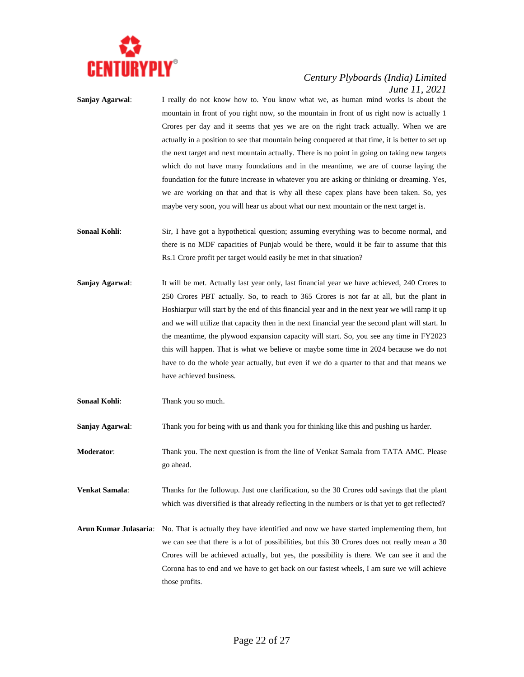

- **Sanjay Agarwal**: I really do not know how to. You know what we, as human mind works is about the mountain in front of you right now, so the mountain in front of us right now is actually 1 Crores per day and it seems that yes we are on the right track actually. When we are actually in a position to see that mountain being conquered at that time, it is better to set up the next target and next mountain actually. There is no point in going on taking new targets which do not have many foundations and in the meantime, we are of course laying the foundation for the future increase in whatever you are asking or thinking or dreaming. Yes, we are working on that and that is why all these capex plans have been taken. So, yes maybe very soon, you will hear us about what our next mountain or the next target is.
- **Sonaal Kohli:** Sir, I have got a hypothetical question; assuming everything was to become normal, and there is no MDF capacities of Punjab would be there, would it be fair to assume that this Rs.1 Crore profit per target would easily be met in that situation?
- **Sanjay Agarwal:** It will be met. Actually last year only, last financial year we have achieved, 240 Crores to 250 Crores PBT actually. So, to reach to 365 Crores is not far at all, but the plant in Hoshiarpur will start by the end of this financial year and in the next year we will ramp it up and we will utilize that capacity then in the next financial year the second plant will start. In the meantime, the plywood expansion capacity will start. So, you see any time in FY2023 this will happen. That is what we believe or maybe some time in 2024 because we do not have to do the whole year actually, but even if we do a quarter to that and that means we have achieved business.
- **Sonaal Kohli:** Thank you so much.

**Sanjay Agarwal**: Thank you for being with us and thank you for thinking like this and pushing us harder.

- **Moderator**: Thank you. The next question is from the line of Venkat Samala from TATA AMC. Please go ahead.
- **Venkat Samala**: Thanks for the followup. Just one clarification, so the 30 Crores odd savings that the plant which was diversified is that already reflecting in the numbers or is that yet to get reflected?
- **Arun Kumar Julasaria**: No. That is actually they have identified and now we have started implementing them, but we can see that there is a lot of possibilities, but this 30 Crores does not really mean a 30 Crores will be achieved actually, but yes, the possibility is there. We can see it and the Corona has to end and we have to get back on our fastest wheels, I am sure we will achieve those profits.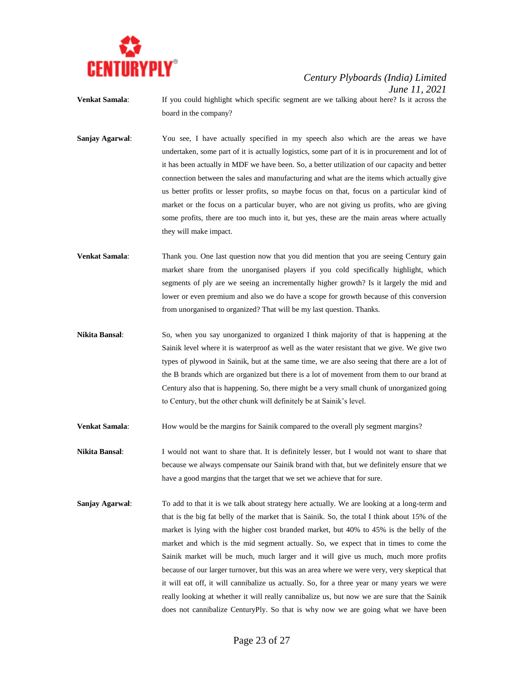

- **Venkat Samala:** If you could highlight which specific segment are we talking about here? Is it across the board in the company?
- **Sanjay Agarwal:** You see, I have actually specified in my speech also which are the areas we have undertaken, some part of it is actually logistics, some part of it is in procurement and lot of it has been actually in MDF we have been. So, a better utilization of our capacity and better connection between the sales and manufacturing and what are the items which actually give us better profits or lesser profits, so maybe focus on that, focus on a particular kind of market or the focus on a particular buyer, who are not giving us profits, who are giving some profits, there are too much into it, but yes, these are the main areas where actually they will make impact.
- **Venkat Samala:** Thank you. One last question now that you did mention that you are seeing Century gain market share from the unorganised players if you cold specifically highlight, which segments of ply are we seeing an incrementally higher growth? Is it largely the mid and lower or even premium and also we do have a scope for growth because of this conversion from unorganised to organized? That will be my last question. Thanks.
- **Nikita Bansal**: So, when you say unorganized to organized I think majority of that is happening at the Sainik level where it is waterproof as well as the water resistant that we give. We give two types of plywood in Sainik, but at the same time, we are also seeing that there are a lot of the B brands which are organized but there is a lot of movement from them to our brand at Century also that is happening. So, there might be a very small chunk of unorganized going to Century, but the other chunk will definitely be at Sainik's level.
- **Venkat Samala:** How would be the margins for Sainik compared to the overall ply segment margins?
- **Nikita Bansal**: I would not want to share that. It is definitely lesser, but I would not want to share that because we always compensate our Sainik brand with that, but we definitely ensure that we have a good margins that the target that we set we achieve that for sure.
- **Sanjay Agarwal:** To add to that it is we talk about strategy here actually. We are looking at a long-term and that is the big fat belly of the market that is Sainik. So, the total I think about 15% of the market is lying with the higher cost branded market, but 40% to 45% is the belly of the market and which is the mid segment actually. So, we expect that in times to come the Sainik market will be much, much larger and it will give us much, much more profits because of our larger turnover, but this was an area where we were very, very skeptical that it will eat off, it will cannibalize us actually. So, for a three year or many years we were really looking at whether it will really cannibalize us, but now we are sure that the Sainik does not cannibalize CenturyPly. So that is why now we are going what we have been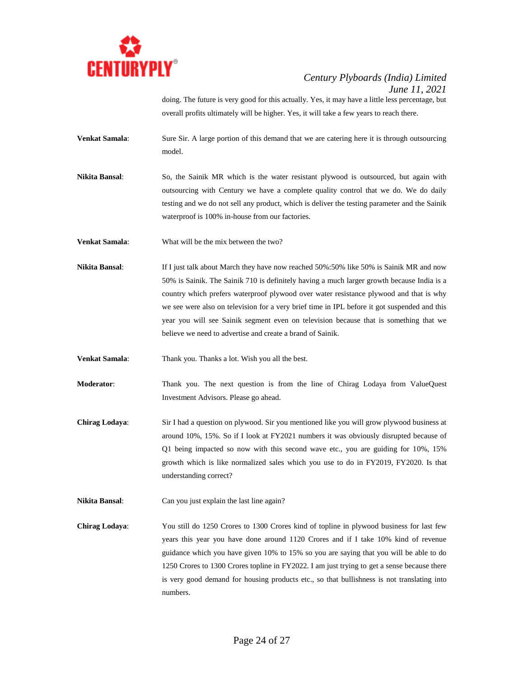

doing. The future is very good for this actually. Yes, it may have a little less percentage, but overall profits ultimately will be higher. Yes, it will take a few years to reach there.

- **Venkat Samala:** Sure Sir. A large portion of this demand that we are catering here it is through outsourcing model.
- **Nikita Bansal**: So, the Sainik MR which is the water resistant plywood is outsourced, but again with outsourcing with Century we have a complete quality control that we do. We do daily testing and we do not sell any product, which is deliver the testing parameter and the Sainik waterproof is 100% in-house from our factories.

**Venkat Samala**: What will be the mix between the two?

**Nikita Bansal**: If I just talk about March they have now reached 50%:50% like 50% is Sainik MR and now 50% is Sainik. The Sainik 710 is definitely having a much larger growth because India is a country which prefers waterproof plywood over water resistance plywood and that is why we see were also on television for a very brief time in IPL before it got suspended and this year you will see Sainik segment even on television because that is something that we believe we need to advertise and create a brand of Sainik.

**Venkat Samala**: Thank you. Thanks a lot. Wish you all the best.

- **Moderator**: Thank you. The next question is from the line of Chirag Lodaya from ValueQuest Investment Advisors. Please go ahead.
- **Chirag Lodaya**: Sir I had a question on plywood. Sir you mentioned like you will grow plywood business at around 10%, 15%. So if I look at FY2021 numbers it was obviously disrupted because of Q1 being impacted so now with this second wave etc., you are guiding for 10%, 15% growth which is like normalized sales which you use to do in FY2019, FY2020. Is that understanding correct?

**Nikita Bansal:** Can you just explain the last line again?

**Chirag Lodaya**: You still do 1250 Crores to 1300 Crores kind of topline in plywood business for last few years this year you have done around 1120 Crores and if I take 10% kind of revenue guidance which you have given 10% to 15% so you are saying that you will be able to do 1250 Crores to 1300 Crores topline in FY2022. I am just trying to get a sense because there is very good demand for housing products etc., so that bullishness is not translating into numbers.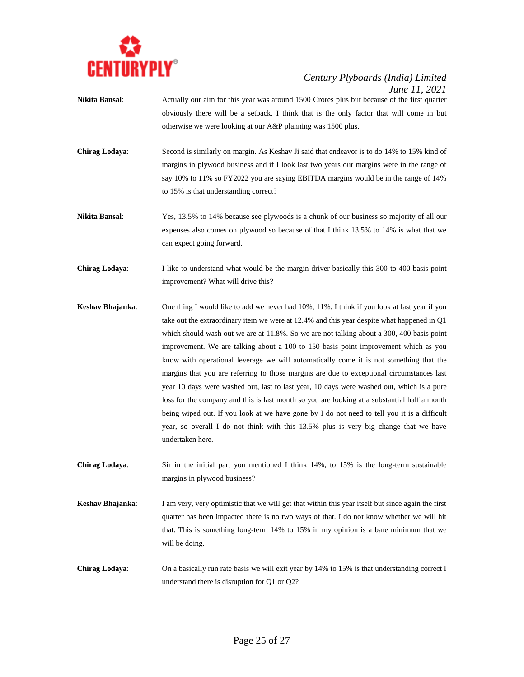

- **Nikita Bansal**: Actually our aim for this year was around 1500 Crores plus but because of the first quarter obviously there will be a setback. I think that is the only factor that will come in but otherwise we were looking at our A&P planning was 1500 plus.
- **Chirag Lodaya**: Second is similarly on margin. As Keshav Ji said that endeavor is to do 14% to 15% kind of margins in plywood business and if I look last two years our margins were in the range of say 10% to 11% so FY2022 you are saying EBITDA margins would be in the range of 14% to 15% is that understanding correct?
- **Nikita Bansal**: Yes, 13.5% to 14% because see plywoods is a chunk of our business so majority of all our expenses also comes on plywood so because of that I think 13.5% to 14% is what that we can expect going forward.
- **Chirag Lodaya**: I like to understand what would be the margin driver basically this 300 to 400 basis point improvement? What will drive this?
- **Keshav Bhajanka**: One thing I would like to add we never had 10%, 11%. I think if you look at last year if you take out the extraordinary item we were at 12.4% and this year despite what happened in Q1 which should wash out we are at 11.8%. So we are not talking about a 300, 400 basis point improvement. We are talking about a 100 to 150 basis point improvement which as you know with operational leverage we will automatically come it is not something that the margins that you are referring to those margins are due to exceptional circumstances last year 10 days were washed out, last to last year, 10 days were washed out, which is a pure loss for the company and this is last month so you are looking at a substantial half a month being wiped out. If you look at we have gone by I do not need to tell you it is a difficult year, so overall I do not think with this 13.5% plus is very big change that we have undertaken here.
- **Chirag Lodaya**: Sir in the initial part you mentioned I think 14%, to 15% is the long-term sustainable margins in plywood business?
- **Keshav Bhajanka**: I am very, very optimistic that we will get that within this year itself but since again the first quarter has been impacted there is no two ways of that. I do not know whether we will hit that. This is something long-term 14% to 15% in my opinion is a bare minimum that we will be doing.
- **Chirag Lodaya**: On a basically run rate basis we will exit year by 14% to 15% is that understanding correct I understand there is disruption for Q1 or Q2?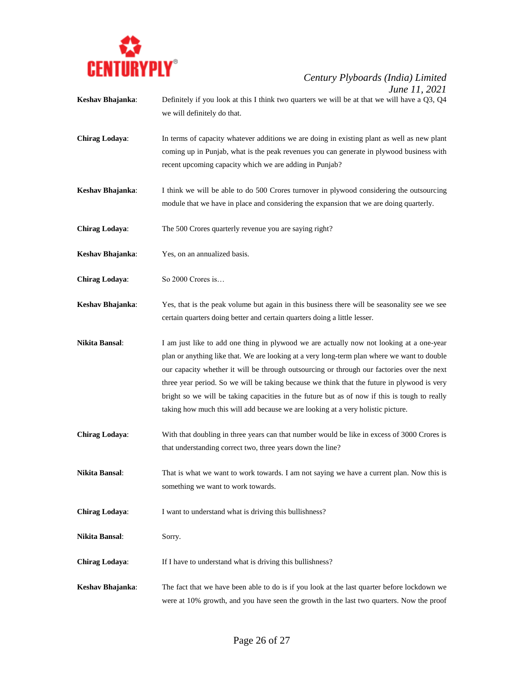

- **Keshav Bhajanka**: Definitely if you look at this I think two quarters we will be at that we will have a Q3, Q4 we will definitely do that.
- **Chirag Lodaya**: In terms of capacity whatever additions we are doing in existing plant as well as new plant coming up in Punjab, what is the peak revenues you can generate in plywood business with recent upcoming capacity which we are adding in Punjab?
- **Keshav Bhajanka**: I think we will be able to do 500 Crores turnover in plywood considering the outsourcing module that we have in place and considering the expansion that we are doing quarterly.
- **Chirag Lodaya**: The 500 Crores quarterly revenue you are saying right?
- **Keshav Bhajanka**: Yes, on an annualized basis.
- **Chirag Lodaya**: So 2000 Crores is…
- **Keshav Bhajanka**: Yes, that is the peak volume but again in this business there will be seasonality see we see certain quarters doing better and certain quarters doing a little lesser.
- **Nikita Bansal**: I am just like to add one thing in plywood we are actually now not looking at a one-year plan or anything like that. We are looking at a very long-term plan where we want to double our capacity whether it will be through outsourcing or through our factories over the next three year period. So we will be taking because we think that the future in plywood is very bright so we will be taking capacities in the future but as of now if this is tough to really taking how much this will add because we are looking at a very holistic picture.
- **Chirag Lodaya**: With that doubling in three years can that number would be like in excess of 3000 Crores is that understanding correct two, three years down the line?
- **Nikita Bansal:** That is what we want to work towards. I am not saying we have a current plan. Now this is something we want to work towards.
- **Chirag Lodaya:** I want to understand what is driving this bullishness?
- **Nikita Bansal**: Sorry.
- **Chirag Lodaya:** If I have to understand what is driving this bullishness?
- **Keshav Bhajanka**: The fact that we have been able to do is if you look at the last quarter before lockdown we were at 10% growth, and you have seen the growth in the last two quarters. Now the proof